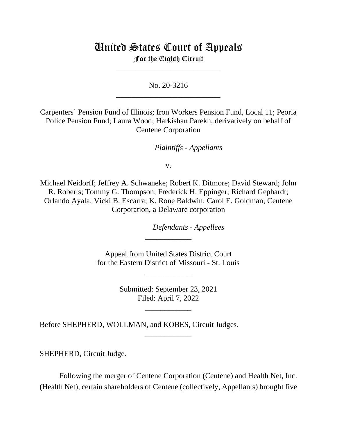# United States Court of Appeals

For the Eighth Circuit \_\_\_\_\_\_\_\_\_\_\_\_\_\_\_\_\_\_\_\_\_\_\_\_\_\_\_

No. 20-3216 \_\_\_\_\_\_\_\_\_\_\_\_\_\_\_\_\_\_\_\_\_\_\_\_\_\_\_

Carpenters' Pension Fund of Illinois; Iron Workers Pension Fund, Local 11; Peoria Police Pension Fund; Laura Wood; Harkishan Parekh, derivatively on behalf of Centene Corporation

*Plaintiffs - Appellants*

v.

Michael Neidorff; Jeffrey A. Schwaneke; Robert K. Ditmore; David Steward; John R. Roberts; Tommy G. Thompson; Frederick H. Eppinger; Richard Gephardt; Orlando Ayala; Vicki B. Escarra; K. Rone Baldwin; Carol E. Goldman; Centene Corporation, a Delaware corporation

*Defendants - Appellees*

Appeal from United States District Court for the Eastern District of Missouri - St. Louis

\_\_\_\_\_\_\_\_\_\_\_\_

\_\_\_\_\_\_\_\_\_\_\_\_

Submitted: September 23, 2021 Filed: April 7, 2022

\_\_\_\_\_\_\_\_\_\_\_\_

\_\_\_\_\_\_\_\_\_\_\_\_

Before SHEPHERD, WOLLMAN, and KOBES, Circuit Judges.

SHEPHERD, Circuit Judge.

Following the merger of Centene Corporation (Centene) and Health Net, Inc. (Health Net), certain shareholders of Centene (collectively, Appellants) brought five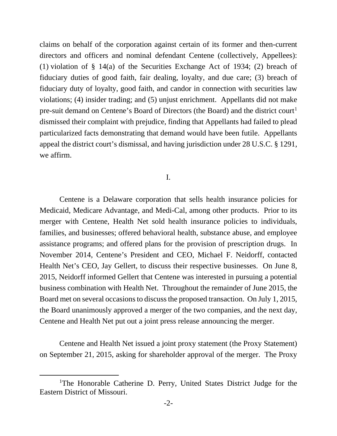claims on behalf of the corporation against certain of its former and then-current directors and officers and nominal defendant Centene (collectively, Appellees): (1) violation of § 14(a) of the Securities Exchange Act of 1934; (2) breach of fiduciary duties of good faith, fair dealing, loyalty, and due care; (3) breach of fiduciary duty of loyalty, good faith, and candor in connection with securities law violations; (4) insider trading; and (5) unjust enrichment. Appellants did not make pre-suit demand on Centene's Board of Directors (the Board) and the district court<sup>[1](#page-1-0)</sup> dismissed their complaint with prejudice, finding that Appellants had failed to plead particularized facts demonstrating that demand would have been futile. Appellants appeal the district court's dismissal, and having jurisdiction under 28 U.S.C. § 1291, we affirm.

I.

Centene is a Delaware corporation that sells health insurance policies for Medicaid, Medicare Advantage, and Medi-Cal, among other products. Prior to its merger with Centene, Health Net sold health insurance policies to individuals, families, and businesses; offered behavioral health, substance abuse, and employee assistance programs; and offered plans for the provision of prescription drugs. In November 2014, Centene's President and CEO, Michael F. Neidorff, contacted Health Net's CEO, Jay Gellert, to discuss their respective businesses. On June 8, 2015, Neidorff informed Gellert that Centene was interested in pursuing a potential business combination with Health Net. Throughout the remainder of June 2015, the Board met on several occasions to discuss the proposed transaction. On July 1, 2015, the Board unanimously approved a merger of the two companies, and the next day, Centene and Health Net put out a joint press release announcing the merger.

Centene and Health Net issued a joint proxy statement (the Proxy Statement) on September 21, 2015, asking for shareholder approval of the merger. The Proxy

<span id="page-1-0"></span><sup>&</sup>lt;sup>1</sup>The Honorable Catherine D. Perry, United States District Judge for the Eastern District of Missouri.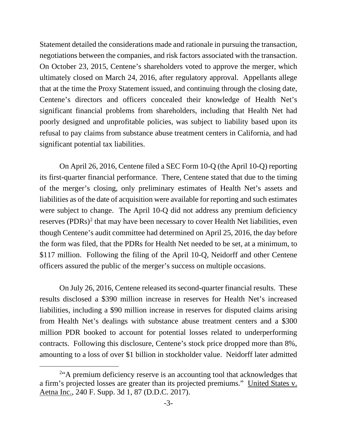Statement detailed the considerations made and rationale in pursuing the transaction, negotiations between the companies, and risk factors associated with the transaction. On October 23, 2015, Centene's shareholders voted to approve the merger, which ultimately closed on March 24, 2016, after regulatory approval. Appellants allege that at the time the Proxy Statement issued, and continuing through the closing date, Centene's directors and officers concealed their knowledge of Health Net's significant financial problems from shareholders, including that Health Net had poorly designed and unprofitable policies, was subject to liability based upon its refusal to pay claims from substance abuse treatment centers in California, and had significant potential tax liabilities.

On April 26, 2016, Centene filed a SEC Form 10-Q (the April 10-Q) reporting its first-quarter financial performance. There, Centene stated that due to the timing of the merger's closing, only preliminary estimates of Health Net's assets and liabilities as of the date of acquisition were available for reporting and such estimates were subject to change. The April 10-Q did not address any premium deficiency reserves (PDRs)<sup>[2](#page-2-0)</sup> that may have been necessary to cover Health Net liabilities, even though Centene's audit committee had determined on April 25, 2016, the day before the form was filed, that the PDRs for Health Net needed to be set, at a minimum, to \$117 million. Following the filing of the April 10-Q, Neidorff and other Centene officers assured the public of the merger's success on multiple occasions.

On July 26, 2016, Centene released its second-quarter financial results. These results disclosed a \$390 million increase in reserves for Health Net's increased liabilities, including a \$90 million increase in reserves for disputed claims arising from Health Net's dealings with substance abuse treatment centers and a \$300 million PDR booked to account for potential losses related to underperforming contracts. Following this disclosure, Centene's stock price dropped more than 8%, amounting to a loss of over \$1 billion in stockholder value. Neidorff later admitted

<span id="page-2-0"></span><sup>&</sup>lt;sup>2"</sup>A premium deficiency reserve is an accounting tool that acknowledges that a firm's projected losses are greater than its projected premiums." United States v. Aetna Inc., 240 F. Supp. 3d 1, 87 (D.D.C. 2017).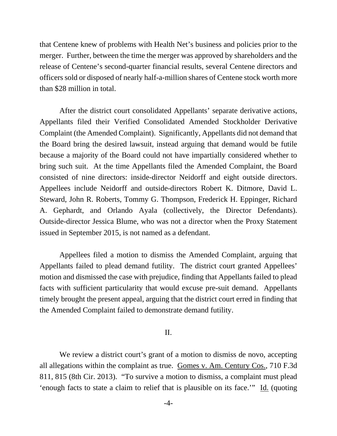that Centene knew of problems with Health Net's business and policies prior to the merger. Further, between the time the merger was approved by shareholders and the release of Centene's second-quarter financial results, several Centene directors and officers sold or disposed of nearly half-a-million shares of Centene stock worth more than \$28 million in total.

After the district court consolidated Appellants' separate derivative actions, Appellants filed their Verified Consolidated Amended Stockholder Derivative Complaint (the Amended Complaint). Significantly, Appellants did not demand that the Board bring the desired lawsuit, instead arguing that demand would be futile because a majority of the Board could not have impartially considered whether to bring such suit. At the time Appellants filed the Amended Complaint, the Board consisted of nine directors: inside-director Neidorff and eight outside directors. Appellees include Neidorff and outside-directors Robert K. Ditmore, David L. Steward, John R. Roberts, Tommy G. Thompson, Frederick H. Eppinger, Richard A. Gephardt, and Orlando Ayala (collectively, the Director Defendants). Outside-director Jessica Blume, who was not a director when the Proxy Statement issued in September 2015, is not named as a defendant.

Appellees filed a motion to dismiss the Amended Complaint, arguing that Appellants failed to plead demand futility. The district court granted Appellees' motion and dismissed the case with prejudice, finding that Appellants failed to plead facts with sufficient particularity that would excuse pre-suit demand. Appellants timely brought the present appeal, arguing that the district court erred in finding that the Amended Complaint failed to demonstrate demand futility.

#### II.

We review a district court's grant of a motion to dismiss de novo, accepting all allegations within the complaint as true. Gomes v. Am. Century Cos., 710 F.3d 811, 815 (8th Cir. 2013). "To survive a motion to dismiss, a complaint must plead 'enough facts to state a claim to relief that is plausible on its face.'" Id. (quoting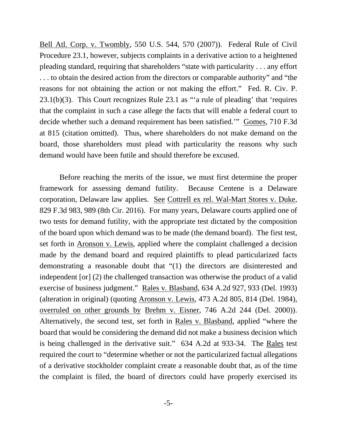Bell Atl. Corp. v. Twombly, 550 U.S. 544, 570 (2007)). Federal Rule of Civil Procedure 23.1, however, subjects complaints in a derivative action to a heightened pleading standard, requiring that shareholders "state with particularity . . . any effort . . . to obtain the desired action from the directors or comparable authority" and "the reasons for not obtaining the action or not making the effort." Fed. R. Civ. P. 23.1(b)(3). This Court recognizes Rule 23.1 as "'a rule of pleading' that 'requires that the complaint in such a case allege the facts that will enable a federal court to decide whether such a demand requirement has been satisfied.'" Gomes, 710 F.3d at 815 (citation omitted). Thus, where shareholders do not make demand on the board, those shareholders must plead with particularity the reasons why such demand would have been futile and should therefore be excused.

Before reaching the merits of the issue, we must first determine the proper framework for assessing demand futility. Because Centene is a Delaware corporation, Delaware law applies. See Cottrell ex rel. Wal-Mart Stores v. Duke, 829 F.3d 983, 989 (8th Cir. 2016). For many years, Delaware courts applied one of two tests for demand futility, with the appropriate test dictated by the composition of the board upon which demand was to be made (the demand board). The first test, set forth in Aronson v. Lewis, applied where the complaint challenged a decision made by the demand board and required plaintiffs to plead particularized facts demonstrating a reasonable doubt that "(1) the directors are disinterested and independent [or] (2) the challenged transaction was otherwise the product of a valid exercise of business judgment." Rales v. Blasband, 634 A.2d 927, 933 (Del. 1993) (alteration in original) (quoting Aronson v. Lewis, 473 A.2d 805, 814 (Del. 1984), overruled on other grounds by Brehm v. Eisner, 746 A.2d 244 (Del. 2000)). Alternatively, the second test, set forth in Rales v. Blasband, applied "where the board that would be considering the demand did not make a business decision which is being challenged in the derivative suit." 634 A.2d at 933-34. The Rales test required the court to "determine whether or not the particularized factual allegations of a derivative stockholder complaint create a reasonable doubt that, as of the time the complaint is filed, the board of directors could have properly exercised its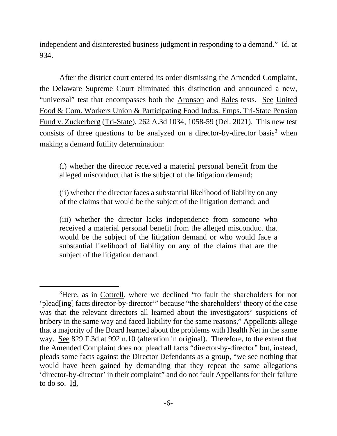independent and disinterested business judgment in responding to a demand." Id. at 934.

After the district court entered its order dismissing the Amended Complaint, the Delaware Supreme Court eliminated this distinction and announced a new, "universal" test that encompasses both the Aronson and Rales tests. See United Food & Com. Workers Union & Participating Food Indus. Emps. Tri-State Pension Fund v. Zuckerberg (Tri-State), 262 A.3d 1034, 1058-59 (Del. 2021). This new test consists of three questions to be analyzed on a director-by-director basis<sup>[3](#page-5-0)</sup> when making a demand futility determination:

(i) whether the director received a material personal benefit from the alleged misconduct that is the subject of the litigation demand;

(ii) whether the director faces a substantial likelihood of liability on any of the claims that would be the subject of the litigation demand; and

(iii) whether the director lacks independence from someone who received a material personal benefit from the alleged misconduct that would be the subject of the litigation demand or who would face a substantial likelihood of liability on any of the claims that are the subject of the litigation demand.

<span id="page-5-0"></span><sup>&</sup>lt;sup>3</sup>Here, as in Cottrell, where we declined "to fault the shareholders for not 'plead[ing] facts director-by-director'" because "the shareholders' theory of the case was that the relevant directors all learned about the investigators' suspicions of bribery in the same way and faced liability for the same reasons," Appellants allege that a majority of the Board learned about the problems with Health Net in the same way. See 829 F.3d at 992 n.10 (alteration in original). Therefore, to the extent that the Amended Complaint does not plead all facts "director-by-director" but, instead, pleads some facts against the Director Defendants as a group, "we see nothing that would have been gained by demanding that they repeat the same allegations 'director-by-director' in their complaint" and do not fault Appellants for their failure to do so. Id.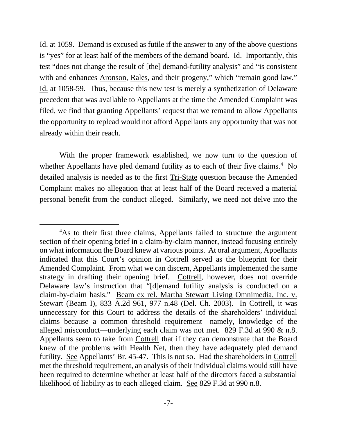Id. at 1059. Demand is excused as futile if the answer to any of the above questions is "yes" for at least half of the members of the demand board. Id. Importantly, this test "does not change the result of [the] demand-futility analysis" and "is consistent with and enhances Aronson, Rales, and their progeny," which "remain good law." Id. at 1058-59. Thus, because this new test is merely a synthetization of Delaware precedent that was available to Appellants at the time the Amended Complaint was filed, we find that granting Appellants' request that we remand to allow Appellants the opportunity to replead would not afford Appellants any opportunity that was not already within their reach.

With the proper framework established, we now turn to the question of whether Appellants have pled demand futility as to each of their five claims.<sup>[4](#page-6-0)</sup> No detailed analysis is needed as to the first Tri-State question because the Amended Complaint makes no allegation that at least half of the Board received a material personal benefit from the conduct alleged. Similarly, we need not delve into the

<span id="page-6-0"></span><sup>&</sup>lt;sup>4</sup>As to their first three claims, Appellants failed to structure the argument section of their opening brief in a claim-by-claim manner, instead focusing entirely on what information the Board knew at various points. At oral argument, Appellants indicated that this Court's opinion in Cottrell served as the blueprint for their Amended Complaint. From what we can discern, Appellants implemented the same strategy in drafting their opening brief. Cottrell, however, does not override Delaware law's instruction that "[d]emand futility analysis is conducted on a claim-by-claim basis." Beam ex rel. Martha Stewart Living Omnimedia, Inc. v. Stewart (Beam I), 833 A.2d 961, 977 n.48 (Del. Ch. 2003). In Cottrell, it was unnecessary for this Court to address the details of the shareholders' individual claims because a common threshold requirement—namely, knowledge of the alleged misconduct—underlying each claim was not met. 829 F.3d at 990 & n.8. Appellants seem to take from Cottrell that if they can demonstrate that the Board knew of the problems with Health Net, then they have adequately pled demand futility. See Appellants' Br. 45-47. This is not so. Had the shareholders in Cottrell met the threshold requirement, an analysis of their individual claims would still have been required to determine whether at least half of the directors faced a substantial likelihood of liability as to each alleged claim. See 829 F.3d at 990 n.8.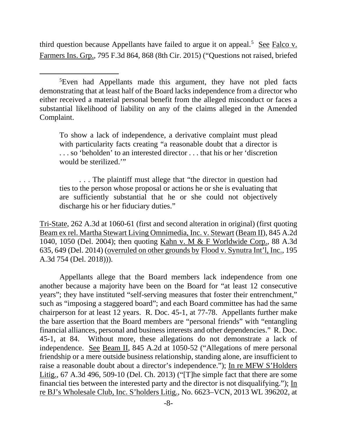third question because Appellants have failed to argue it on appeal.<sup>[5](#page-7-0)</sup> See Falco v. Farmers Ins. Grp., 795 F.3d 864, 868 (8th Cir. 2015) ("Questions not raised, briefed

<span id="page-7-0"></span>5 Even had Appellants made this argument, they have not pled facts demonstrating that at least half of the Board lacks independence from a director who either received a material personal benefit from the alleged misconduct or faces a substantial likelihood of liability on any of the claims alleged in the Amended Complaint.

To show a lack of independence, a derivative complaint must plead with particularity facts creating "a reasonable doubt that a director is . . . so 'beholden' to an interested director . . . that his or her 'discretion would be sterilized.'"

. . . The plaintiff must allege that "the director in question had ties to the person whose proposal or actions he or she is evaluating that are sufficiently substantial that he or she could not objectively discharge his or her fiduciary duties."

Tri-State, 262 A.3d at 1060-61 (first and second alteration in original) (first quoting Beam ex rel. Martha Stewart Living Omnimedia, Inc. v. Stewart (Beam II), 845 A.2d 1040, 1050 (Del. 2004); then quoting Kahn v. M & F Worldwide Corp., 88 A.3d 635, 649 (Del. 2014) (overruled on other grounds by Flood v. Synutra Int'l, Inc., 195 A.3d 754 (Del. 2018))).

Appellants allege that the Board members lack independence from one another because a majority have been on the Board for "at least 12 consecutive years"; they have instituted "self-serving measures that foster their entrenchment," such as "imposing a staggered board"; and each Board committee has had the same chairperson for at least 12 years. R. Doc. 45-1, at 77-78. Appellants further make the bare assertion that the Board members are "personal friends" with "entangling financial alliances, personal and business interests and other dependencies." R. Doc. 45-1, at 84. Without more, these allegations do not demonstrate a lack of independence. See Beam II, 845 A.2d at 1050-52 ("Allegations of mere personal friendship or a mere outside business relationship, standing alone, are insufficient to raise a reasonable doubt about a director's independence."); In re MFW S'Holders Litig., 67 A.3d 496, 509-10 (Del. Ch. 2013) ("[T]he simple fact that there are some financial ties between the interested party and the director is not disqualifying."); In re BJ's Wholesale Club, Inc. S'holders Litig., No. 6623–VCN, 2013 WL 396202, at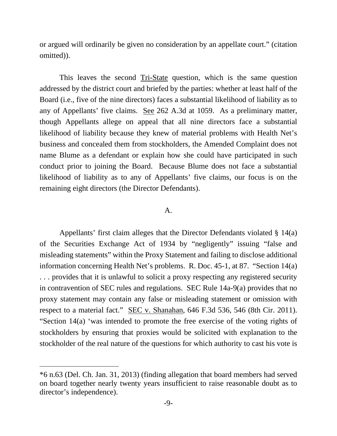or argued will ordinarily be given no consideration by an appellate court." (citation omitted)).

This leaves the second Tri-State question, which is the same question addressed by the district court and briefed by the parties: whether at least half of the Board (i.e., five of the nine directors) faces a substantial likelihood of liability as to any of Appellants' five claims. See 262 A.3d at 1059. As a preliminary matter, though Appellants allege on appeal that all nine directors face a substantial likelihood of liability because they knew of material problems with Health Net's business and concealed them from stockholders, the Amended Complaint does not name Blume as a defendant or explain how she could have participated in such conduct prior to joining the Board. Because Blume does not face a substantial likelihood of liability as to any of Appellants' five claims, our focus is on the remaining eight directors (the Director Defendants).

#### A.

Appellants' first claim alleges that the Director Defendants violated § 14(a) of the Securities Exchange Act of 1934 by "negligently" issuing "false and misleading statements" within the Proxy Statement and failing to disclose additional information concerning Health Net's problems. R. Doc. 45-1, at 87. "Section 14(a) . . . provides that it is unlawful to solicit a proxy respecting any registered security in contravention of SEC rules and regulations. SEC Rule 14a-9(a) provides that no proxy statement may contain any false or misleading statement or omission with respect to a material fact." SEC v. Shanahan, 646 F.3d 536, 546 (8th Cir. 2011). "Section 14(a) 'was intended to promote the free exercise of the voting rights of stockholders by ensuring that proxies would be solicited with explanation to the stockholder of the real nature of the questions for which authority to cast his vote is

<sup>\*6</sup> n.63 (Del. Ch. Jan. 31, 2013) (finding allegation that board members had served on board together nearly twenty years insufficient to raise reasonable doubt as to director's independence).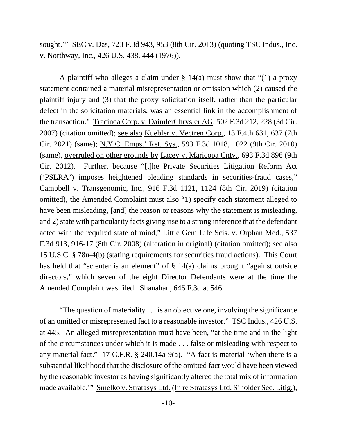sought.'" SEC v. Das, 723 F.3d 943, 953 (8th Cir. 2013) (quoting TSC Indus., Inc. v. Northway, Inc., 426 U.S. 438, 444 (1976)).

A plaintiff who alleges a claim under  $\S$  14(a) must show that "(1) a proxy statement contained a material misrepresentation or omission which (2) caused the plaintiff injury and (3) that the proxy solicitation itself, rather than the particular defect in the solicitation materials, was an essential link in the accomplishment of the transaction." Tracinda Corp. v. DaimlerChrysler AG, 502 F.3d 212, 228 (3d Cir. 2007) (citation omitted); see also Kuebler v. Vectren Corp., 13 F.4th 631, 637 (7th Cir. 2021) (same); N.Y.C. Emps.' Ret. Sys., 593 F.3d 1018, 1022 (9th Cir. 2010) (same), overruled on other grounds by Lacey v. Maricopa Cnty., 693 F.3d 896 (9th Cir. 2012). Further, because "[t]he Private Securities Litigation Reform Act ('PSLRA') imposes heightened pleading standards in securities-fraud cases," Campbell v. Transgenomic, Inc., 916 F.3d 1121, 1124 (8th Cir. 2019) (citation omitted), the Amended Complaint must also "1) specify each statement alleged to have been misleading, [and] the reason or reasons why the statement is misleading, and 2) state with particularity facts giving rise to a strong inference that the defendant acted with the required state of mind," Little Gem Life Scis. v. Orphan Med., 537 F.3d 913, 916-17 (8th Cir. 2008) (alteration in original) (citation omitted); see also 15 U.S.C. § 78u-4(b) (stating requirements for securities fraud actions). This Court has held that "scienter is an element" of  $\S$  14(a) claims brought "against outside directors," which seven of the eight Director Defendants were at the time the Amended Complaint was filed. Shanahan, 646 F.3d at 546.

"The question of materiality . . . is an objective one, involving the significance of an omitted or misrepresented fact to a reasonable investor." TSC Indus., 426 U.S. at 445. An alleged misrepresentation must have been, "at the time and in the light of the circumstances under which it is made . . . false or misleading with respect to any material fact." 17 C.F.R. § 240.14a-9(a). "A fact is material 'when there is a substantial likelihood that the disclosure of the omitted fact would have been viewed by the reasonable investor as having significantly altered the total mix of information made available.'" Smelko v. Stratasys Ltd. (In re Stratasys Ltd. S'holder Sec. Litig.),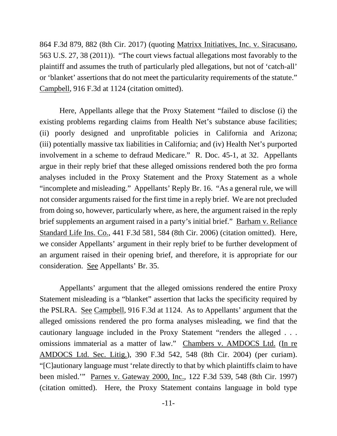864 F.3d 879, 882 (8th Cir. 2017) (quoting Matrixx Initiatives, Inc. v. Siracusano, 563 U.S. 27, 38 (2011)). "The court views factual allegations most favorably to the plaintiff and assumes the truth of particularly pled allegations, but not of 'catch-all' or 'blanket' assertions that do not meet the particularity requirements of the statute." Campbell, 916 F.3d at 1124 (citation omitted).

Here, Appellants allege that the Proxy Statement "failed to disclose (i) the existing problems regarding claims from Health Net's substance abuse facilities; (ii) poorly designed and unprofitable policies in California and Arizona; (iii) potentially massive tax liabilities in California; and (iv) Health Net's purported involvement in a scheme to defraud Medicare." R. Doc. 45-1, at 32. Appellants argue in their reply brief that these alleged omissions rendered both the pro forma analyses included in the Proxy Statement and the Proxy Statement as a whole "incomplete and misleading." Appellants' Reply Br. 16. "As a general rule, we will not consider arguments raised for the first time in a reply brief. We are not precluded from doing so, however, particularly where, as here, the argument raised in the reply brief supplements an argument raised in a party's initial brief." Barham v. Reliance Standard Life Ins. Co., 441 F.3d 581, 584 (8th Cir. 2006) (citation omitted). Here, we consider Appellants' argument in their reply brief to be further development of an argument raised in their opening brief, and therefore, it is appropriate for our consideration. See Appellants' Br. 35.

Appellants' argument that the alleged omissions rendered the entire Proxy Statement misleading is a "blanket" assertion that lacks the specificity required by the PSLRA. See Campbell, 916 F.3d at 1124. As to Appellants' argument that the alleged omissions rendered the pro forma analyses misleading, we find that the cautionary language included in the Proxy Statement "renders the alleged . . . omissions immaterial as a matter of law." Chambers v. AMDOCS Ltd. (In re AMDOCS Ltd. Sec. Litig.), 390 F.3d 542, 548 (8th Cir. 2004) (per curiam). "[C]autionary language must 'relate directly to that by which plaintiffs claim to have been misled.'" Parnes v. Gateway 2000, Inc., 122 F.3d 539, 548 (8th Cir. 1997) (citation omitted). Here, the Proxy Statement contains language in bold type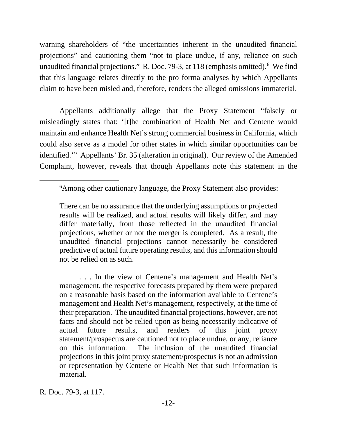warning shareholders of "the uncertainties inherent in the unaudited financial projections" and cautioning them "not to place undue, if any, reliance on such unaudited financial projections." R. Doc. 79-3, at 118 (emphasis omitted). [6](#page-11-0) We find that this language relates directly to the pro forma analyses by which Appellants claim to have been misled and, therefore, renders the alleged omissions immaterial.

Appellants additionally allege that the Proxy Statement "falsely or misleadingly states that: '[t]he combination of Health Net and Centene would maintain and enhance Health Net's strong commercial business in California, which could also serve as a model for other states in which similar opportunities can be identified.'" Appellants' Br. 35 (alteration in original). Our review of the Amended Complaint, however, reveals that though Appellants note this statement in the

<span id="page-11-0"></span><sup>6</sup> Among other cautionary language, the Proxy Statement also provides:

There can be no assurance that the underlying assumptions or projected results will be realized, and actual results will likely differ, and may differ materially, from those reflected in the unaudited financial projections, whether or not the merger is completed. As a result, the unaudited financial projections cannot necessarily be considered predictive of actual future operating results, and this information should not be relied on as such.

<sup>. . .</sup> In the view of Centene's management and Health Net's management, the respective forecasts prepared by them were prepared on a reasonable basis based on the information available to Centene's management and Health Net's management, respectively, at the time of their preparation. The unaudited financial projections, however, are not facts and should not be relied upon as being necessarily indicative of actual future results, and readers of this joint proxy statement/prospectus are cautioned not to place undue, or any, reliance on this information. The inclusion of the unaudited financial projections in this joint proxy statement/prospectus is not an admission or representation by Centene or Health Net that such information is material.

R. Doc. 79-3, at 117.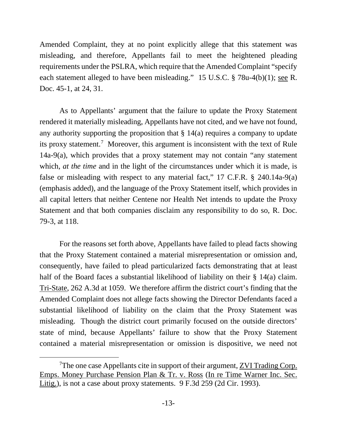Amended Complaint, they at no point explicitly allege that this statement was misleading, and therefore, Appellants fail to meet the heightened pleading requirements under the PSLRA, which require that the Amended Complaint "specify each statement alleged to have been misleading." 15 U.S.C. § 78u-4(b)(1); see R. Doc. 45-1, at 24, 31.

As to Appellants' argument that the failure to update the Proxy Statement rendered it materially misleading, Appellants have not cited, and we have not found, any authority supporting the proposition that  $\S 14(a)$  requires a company to update its proxy statement[.7](#page-12-0) Moreover, this argument is inconsistent with the text of Rule 14a-9(a), which provides that a proxy statement may not contain "any statement which, *at the time* and in the light of the circumstances under which it is made, is false or misleading with respect to any material fact," 17 C.F.R. § 240.14a-9(a) (emphasis added), and the language of the Proxy Statement itself, which provides in all capital letters that neither Centene nor Health Net intends to update the Proxy Statement and that both companies disclaim any responsibility to do so, R. Doc. 79-3, at 118.

For the reasons set forth above, Appellants have failed to plead facts showing that the Proxy Statement contained a material misrepresentation or omission and, consequently, have failed to plead particularized facts demonstrating that at least half of the Board faces a substantial likelihood of liability on their § 14(a) claim. Tri-State, 262 A.3d at 1059. We therefore affirm the district court's finding that the Amended Complaint does not allege facts showing the Director Defendants faced a substantial likelihood of liability on the claim that the Proxy Statement was misleading. Though the district court primarily focused on the outside directors' state of mind, because Appellants' failure to show that the Proxy Statement contained a material misrepresentation or omission is dispositive, we need not

<span id="page-12-0"></span><sup>&</sup>lt;sup>7</sup>The one case Appellants cite in support of their argument, **ZVI Trading Corp.** Emps. Money Purchase Pension Plan & Tr. v. Ross (In re Time Warner Inc. Sec. Litig.), is not a case about proxy statements. 9 F.3d 259 (2d Cir. 1993).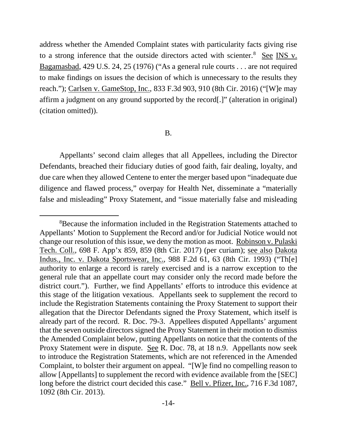address whether the Amended Complaint states with particularity facts giving rise to a strong inference that the outside directors acted with scienter.<sup>[8](#page-13-0)</sup> See INS v. Bagamasbad, 429 U.S. 24, 25 (1976) ("As a general rule courts . . . are not required to make findings on issues the decision of which is unnecessary to the results they reach."); Carlsen v. GameStop, Inc., 833 F.3d 903, 910 (8th Cir. 2016) ("[W]e may affirm a judgment on any ground supported by the record[.]" (alteration in original) (citation omitted)).

## B.

Appellants' second claim alleges that all Appellees, including the Director Defendants, breached their fiduciary duties of good faith, fair dealing, loyalty, and due care when they allowed Centene to enter the merger based upon "inadequate due diligence and flawed process," overpay for Health Net, disseminate a "materially false and misleading" Proxy Statement, and "issue materially false and misleading

<span id="page-13-0"></span><sup>8</sup> Because the information included in the Registration Statements attached to Appellants' Motion to Supplement the Record and/or for Judicial Notice would not change our resolution of this issue, we deny the motion as moot. Robinson v. Pulaski Tech. Coll., 698 F. App'x 859, 859 (8th Cir. 2017) (per curiam); see also Dakota Indus., Inc. v. Dakota Sportswear, Inc., 988 F.2d 61, 63 (8th Cir. 1993) ("Th[e] authority to enlarge a record is rarely exercised and is a narrow exception to the general rule that an appellate court may consider only the record made before the district court."). Further, we find Appellants' efforts to introduce this evidence at this stage of the litigation vexatious. Appellants seek to supplement the record to include the Registration Statements containing the Proxy Statement to support their allegation that the Director Defendants signed the Proxy Statement, which itself is already part of the record. R. Doc. 79-3. Appellees disputed Appellants' argument that the seven outside directors signed the Proxy Statement in their motion to dismiss the Amended Complaint below, putting Appellants on notice that the contents of the Proxy Statement were in dispute. See R. Doc. 78, at 18 n.9. Appellants now seek to introduce the Registration Statements, which are not referenced in the Amended Complaint, to bolster their argument on appeal. "[W]e find no compelling reason to allow [Appellants] to supplement the record with evidence available from the [SEC] long before the district court decided this case." Bell v. Pfizer, Inc., 716 F.3d 1087, 1092 (8th Cir. 2013).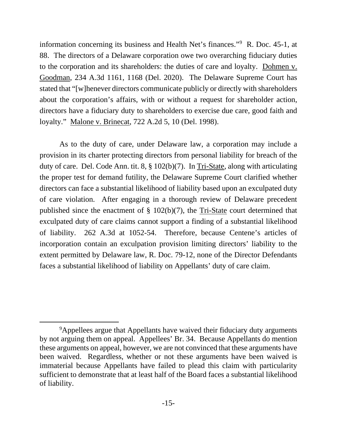information concerning its business and Health Net's finances."[9](#page-14-0) R. Doc. 45-1, at 88. The directors of a Delaware corporation owe two overarching fiduciary duties to the corporation and its shareholders: the duties of care and loyalty. Dohmen v. Goodman, 234 A.3d 1161, 1168 (Del. 2020). The Delaware Supreme Court has stated that "[w]henever directors communicate publicly or directly with shareholders about the corporation's affairs, with or without a request for shareholder action, directors have a fiduciary duty to shareholders to exercise due care, good faith and loyalty." Malone v. Brinecat, 722 A.2d 5, 10 (Del. 1998).

As to the duty of care, under Delaware law, a corporation may include a provision in its charter protecting directors from personal liability for breach of the duty of care. Del. Code Ann. tit. 8, § 102(b)(7). In Tri-State, along with articulating the proper test for demand futility, the Delaware Supreme Court clarified whether directors can face a substantial likelihood of liability based upon an exculpated duty of care violation. After engaging in a thorough review of Delaware precedent published since the enactment of § 102(b)(7), the Tri-State court determined that exculpated duty of care claims cannot support a finding of a substantial likelihood of liability. 262 A.3d at 1052-54. Therefore, because Centene's articles of incorporation contain an exculpation provision limiting directors' liability to the extent permitted by Delaware law, R. Doc. 79-12, none of the Director Defendants faces a substantial likelihood of liability on Appellants' duty of care claim.

<span id="page-14-0"></span><sup>&</sup>lt;sup>9</sup>Appellees argue that Appellants have waived their fiduciary duty arguments by not arguing them on appeal. Appellees' Br. 34. Because Appellants do mention these arguments on appeal, however, we are not convinced that these arguments have been waived. Regardless, whether or not these arguments have been waived is immaterial because Appellants have failed to plead this claim with particularity sufficient to demonstrate that at least half of the Board faces a substantial likelihood of liability.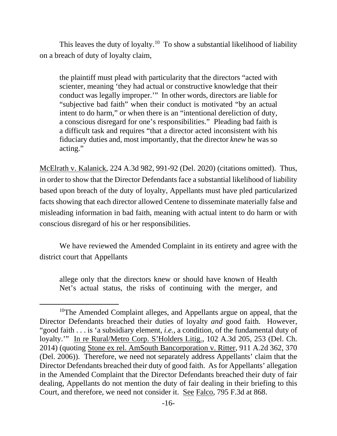This leaves the duty of loyalty.<sup>[10](#page-15-0)</sup> To show a substantial likelihood of liability on a breach of duty of loyalty claim,

the plaintiff must plead with particularity that the directors "acted with scienter, meaning 'they had actual or constructive knowledge that their conduct was legally improper.'" In other words, directors are liable for "subjective bad faith" when their conduct is motivated "by an actual intent to do harm," or when there is an "intentional dereliction of duty, a conscious disregard for one's responsibilities." Pleading bad faith is a difficult task and requires "that a director acted inconsistent with his fiduciary duties and, most importantly, that the director *knew* he was so acting."

McElrath v. Kalanick, 224 A.3d 982, 991-92 (Del. 2020) (citations omitted). Thus, in order to show that the Director Defendants face a substantial likelihood of liability based upon breach of the duty of loyalty, Appellants must have pled particularized facts showing that each director allowed Centene to disseminate materially false and misleading information in bad faith, meaning with actual intent to do harm or with conscious disregard of his or her responsibilities.

We have reviewed the Amended Complaint in its entirety and agree with the district court that Appellants

allege only that the directors knew or should have known of Health Net's actual status, the risks of continuing with the merger, and

<span id="page-15-0"></span><sup>&</sup>lt;sup>10</sup>The Amended Complaint alleges, and Appellants argue on appeal, that the Director Defendants breached their duties of loyalty *and* good faith. However, "good faith . . . is 'a subsidiary element, *i.e.*, a condition, of the fundamental duty of loyalty.'" In re Rural/Metro Corp. S'Holders Litig., 102 A.3d 205, 253 (Del. Ch. 2014) (quoting Stone ex rel. AmSouth Bancorporation v. Ritter, 911 A.2d 362, 370 (Del. 2006)). Therefore, we need not separately address Appellants' claim that the Director Defendants breached their duty of good faith. As for Appellants' allegation in the Amended Complaint that the Director Defendants breached their duty of fair dealing, Appellants do not mention the duty of fair dealing in their briefing to this Court, and therefore, we need not consider it. See Falco, 795 F.3d at 868.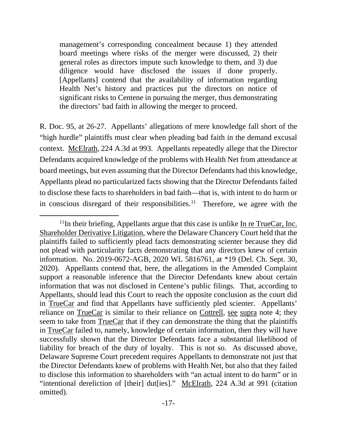management's corresponding concealment because 1) they attended board meetings where risks of the merger were discussed, 2) their general roles as directors impute such knowledge to them, and 3) due diligence would have disclosed the issues if done properly. [Appellants] contend that the availability of information regarding Health Net's history and practices put the directors on notice of significant risks to Centene in pursuing the merger, thus demonstrating the directors' bad faith in allowing the merger to proceed.

R. Doc. 95, at 26-27. Appellants' allegations of mere knowledge fall short of the "high hurdle" plaintiffs must clear when pleading bad faith in the demand excusal context. McElrath, 224 A.3d at 993. Appellants repeatedly allege that the Director Defendants acquired knowledge of the problems with Health Net from attendance at board meetings, but even assuming that the Director Defendants had this knowledge, Appellants plead no particularized facts showing that the Director Defendants failed to disclose these facts to shareholders in bad faith—that is, with intent to do harm or in conscious disregard of their responsibilities.<sup>[11](#page-16-0)</sup> Therefore, we agree with the

<span id="page-16-0"></span> $11$ In their briefing, Appellants argue that this case is unlike In re TrueCar, Inc. Shareholder Derivative Litigation, where the Delaware Chancery Court held that the plaintiffs failed to sufficiently plead facts demonstrating scienter because they did not plead with particularity facts demonstrating that any directors knew of certain information. No. 2019-0672-AGB, 2020 WL 5816761, at \*19 (Del. Ch. Sept. 30, 2020). Appellants contend that, here, the allegations in the Amended Complaint support a reasonable inference that the Director Defendants knew about certain information that was not disclosed in Centene's public filings. That, according to Appellants, should lead this Court to reach the opposite conclusion as the court did in TrueCar and find that Appellants have sufficiently pled scienter. Appellants' reliance on TrueCar is similar to their reliance on Cottrell, see supra note 4; they seem to take from TrueCar that if they can demonstrate the thing that the plaintiffs in TrueCar failed to, namely, knowledge of certain information, then they will have successfully shown that the Director Defendants face a substantial likelihood of liability for breach of the duty of loyalty. This is not so. As discussed above, Delaware Supreme Court precedent requires Appellants to demonstrate not just that the Director Defendants knew of problems with Health Net, but also that they failed to disclose this information to shareholders with "an actual intent to do harm" or in "intentional dereliction of [their] dut[ies]." McElrath, 224 A.3d at 991 (citation omitted).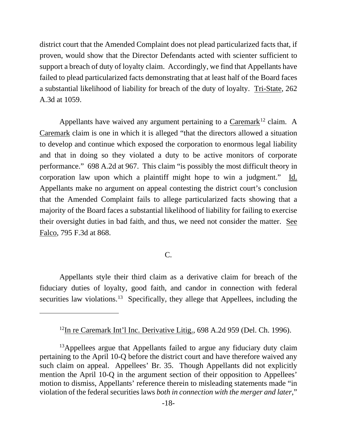district court that the Amended Complaint does not plead particularized facts that, if proven, would show that the Director Defendants acted with scienter sufficient to support a breach of duty of loyalty claim. Accordingly, we find that Appellants have failed to plead particularized facts demonstrating that at least half of the Board faces a substantial likelihood of liability for breach of the duty of loyalty. Tri-State, 262 A.3d at 1059.

Appellants have waived any argument pertaining to a Caremark<sup>[12](#page-17-0)</sup> claim. A Caremark claim is one in which it is alleged "that the directors allowed a situation to develop and continue which exposed the corporation to enormous legal liability and that in doing so they violated a duty to be active monitors of corporate performance." 698 A.2d at 967. This claim "is possibly the most difficult theory in corporation law upon which a plaintiff might hope to win a judgment." Id. Appellants make no argument on appeal contesting the district court's conclusion that the Amended Complaint fails to allege particularized facts showing that a majority of the Board faces a substantial likelihood of liability for failing to exercise their oversight duties in bad faith, and thus, we need not consider the matter. See Falco, 795 F.3d at 868.

# C.

Appellants style their third claim as a derivative claim for breach of the fiduciary duties of loyalty, good faith, and candor in connection with federal securities law violations.<sup>[13](#page-17-1)</sup> Specifically, they allege that Appellees, including the

<sup>&</sup>lt;sup>12</sup>In re Caremark Int'l Inc. Derivative Litig., 698 A.2d 959 (Del. Ch. 1996).

<span id="page-17-1"></span><span id="page-17-0"></span><sup>&</sup>lt;sup>13</sup>Appellees argue that Appellants failed to argue any fiduciary duty claim pertaining to the April 10-Q before the district court and have therefore waived any such claim on appeal. Appellees' Br. 35. Though Appellants did not explicitly mention the April 10-Q in the argument section of their opposition to Appellees' motion to dismiss, Appellants' reference therein to misleading statements made "in violation of the federal securities laws *both in connection with the merger and later*,"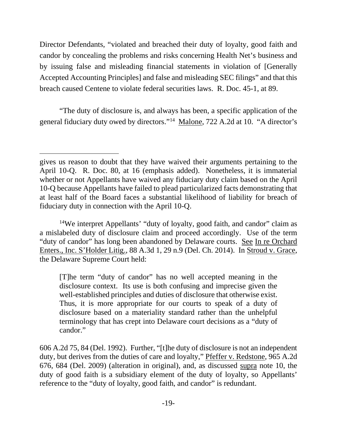Director Defendants, "violated and breached their duty of loyalty, good faith and candor by concealing the problems and risks concerning Health Net's business and by issuing false and misleading financial statements in violation of [Generally Accepted Accounting Principles] and false and misleading SEC filings" and that this breach caused Centene to violate federal securities laws. R. Doc. 45-1, at 89.

"The duty of disclosure is, and always has been, a specific application of the general fiduciary duty owed by directors."[14](#page-18-0) Malone, 722 A.2d at 10. "A director's

<span id="page-18-0"></span>14We interpret Appellants' "duty of loyalty, good faith, and candor" claim as a mislabeled duty of disclosure claim and proceed accordingly. Use of the term "duty of candor" has long been abandoned by Delaware courts. See In re Orchard Enters., Inc. S'Holder Litig., 88 A.3d 1, 29 n.9 (Del. Ch. 2014). In Stroud v. Grace, the Delaware Supreme Court held:

[T]he term "duty of candor" has no well accepted meaning in the disclosure context. Its use is both confusing and imprecise given the well-established principles and duties of disclosure that otherwise exist. Thus, it is more appropriate for our courts to speak of a duty of disclosure based on a materiality standard rather than the unhelpful terminology that has crept into Delaware court decisions as a "duty of candor."

606 A.2d 75, 84 (Del. 1992). Further, "[t]he duty of disclosure is not an independent duty, but derives from the duties of care and loyalty," Pfeffer v. Redstone, 965 A.2d 676, 684 (Del. 2009) (alteration in original), and, as discussed supra note 10, the duty of good faith is a subsidiary element of the duty of loyalty, so Appellants' reference to the "duty of loyalty, good faith, and candor" is redundant.

gives us reason to doubt that they have waived their arguments pertaining to the April 10-Q. R. Doc. 80, at 16 (emphasis added). Nonetheless, it is immaterial whether or not Appellants have waived any fiduciary duty claim based on the April 10-Q because Appellants have failed to plead particularized facts demonstrating that at least half of the Board faces a substantial likelihood of liability for breach of fiduciary duty in connection with the April 10-Q.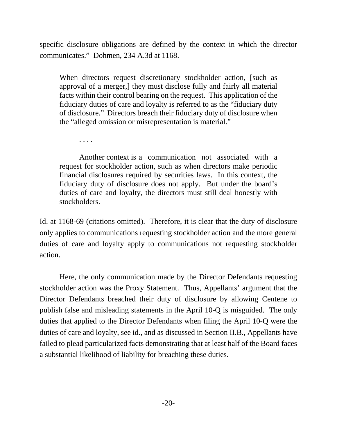specific disclosure obligations are defined by the context in which the director communicates." Dohmen, 234 A.3d at 1168.

When directors request discretionary stockholder action, [such as approval of a merger,] they must disclose fully and fairly all material facts within their control bearing on the request. This application of the fiduciary duties of care and loyalty is referred to as the "fiduciary duty of disclosure." Directors breach their fiduciary duty of disclosure when the "alleged omission or misrepresentation is material."

. . . .

Another context is a communication not associated with a request for stockholder action, such as when directors make periodic financial disclosures required by securities laws. In this context, the fiduciary duty of disclosure does not apply. But under the board's duties of care and loyalty, the directors must still deal honestly with stockholders.

Id. at 1168-69 (citations omitted). Therefore, it is clear that the duty of disclosure only applies to communications requesting stockholder action and the more general duties of care and loyalty apply to communications not requesting stockholder action.

Here, the only communication made by the Director Defendants requesting stockholder action was the Proxy Statement. Thus, Appellants' argument that the Director Defendants breached their duty of disclosure by allowing Centene to publish false and misleading statements in the April 10-Q is misguided. The only duties that applied to the Director Defendants when filing the April 10-Q were the duties of care and loyalty, see id., and as discussed in Section II.B., Appellants have failed to plead particularized facts demonstrating that at least half of the Board faces a substantial likelihood of liability for breaching these duties.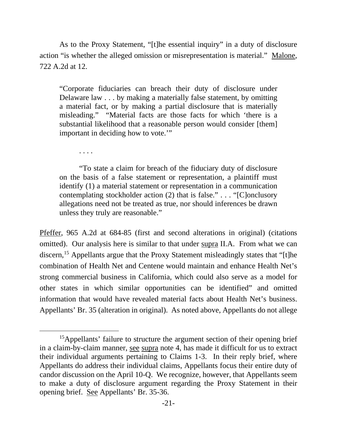As to the Proxy Statement, "[t]he essential inquiry" in a duty of disclosure action "is whether the alleged omission or misrepresentation is material." Malone, 722 A.2d at 12.

"Corporate fiduciaries can breach their duty of disclosure under Delaware law . . . by making a materially false statement, by omitting a material fact, or by making a partial disclosure that is materially misleading." "Material facts are those facts for which 'there is a substantial likelihood that a reasonable person would consider [them] important in deciding how to vote.'"

. . . .

"To state a claim for breach of the fiduciary duty of disclosure on the basis of a false statement or representation, a plaintiff must identify (1) a material statement or representation in a communication contemplating stockholder action (2) that is false." . . . "[C]onclusory allegations need not be treated as true, nor should inferences be drawn unless they truly are reasonable."

Pfeffer, 965 A.2d at 684-85 (first and second alterations in original) (citations omitted). Our analysis here is similar to that under supra II.A. From what we can discern,<sup>15</sup> Appellants argue that the Proxy Statement misleadingly states that "[t]he combination of Health Net and Centene would maintain and enhance Health Net's strong commercial business in California, which could also serve as a model for other states in which similar opportunities can be identified" and omitted information that would have revealed material facts about Health Net's business. Appellants' Br. 35 (alteration in original). As noted above, Appellants do not allege

<span id="page-20-0"></span><sup>&</sup>lt;sup>15</sup>Appellants' failure to structure the argument section of their opening brief in a claim-by-claim manner, see supra note 4, has made it difficult for us to extract their individual arguments pertaining to Claims 1-3. In their reply brief, where Appellants do address their individual claims, Appellants focus their entire duty of candor discussion on the April 10-Q. We recognize, however, that Appellants seem to make a duty of disclosure argument regarding the Proxy Statement in their opening brief. See Appellants' Br. 35-36.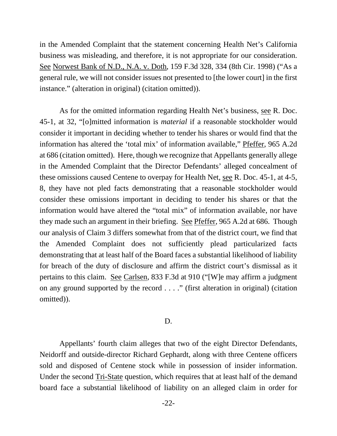in the Amended Complaint that the statement concerning Health Net's California business was misleading, and therefore, it is not appropriate for our consideration. See Norwest Bank of N.D., N.A. v. Doth, 159 F.3d 328, 334 (8th Cir. 1998) ("As a general rule, we will not consider issues not presented to [the lower court] in the first instance." (alteration in original) (citation omitted)).

As for the omitted information regarding Health Net's business, see R. Doc. 45-1, at 32, "[o]mitted information is *material* if a reasonable stockholder would consider it important in deciding whether to tender his shares or would find that the information has altered the 'total mix' of information available," Pfeffer, 965 A.2d at 686 (citation omitted). Here, though we recognize that Appellants generally allege in the Amended Complaint that the Director Defendants' alleged concealment of these omissions caused Centene to overpay for Health Net, see R. Doc. 45-1, at 4-5, 8, they have not pled facts demonstrating that a reasonable stockholder would consider these omissions important in deciding to tender his shares or that the information would have altered the "total mix" of information available, nor have they made such an argument in their briefing. See Pfeffer, 965 A.2d at 686. Though our analysis of Claim 3 differs somewhat from that of the district court, we find that the Amended Complaint does not sufficiently plead particularized facts demonstrating that at least half of the Board faces a substantial likelihood of liability for breach of the duty of disclosure and affirm the district court's dismissal as it pertains to this claim. See Carlsen, 833 F.3d at 910 ("[W]e may affirm a judgment on any ground supported by the record . . . ." (first alteration in original) (citation omitted)).

### D.

Appellants' fourth claim alleges that two of the eight Director Defendants, Neidorff and outside-director Richard Gephardt, along with three Centene officers sold and disposed of Centene stock while in possession of insider information. Under the second Tri-State question, which requires that at least half of the demand board face a substantial likelihood of liability on an alleged claim in order for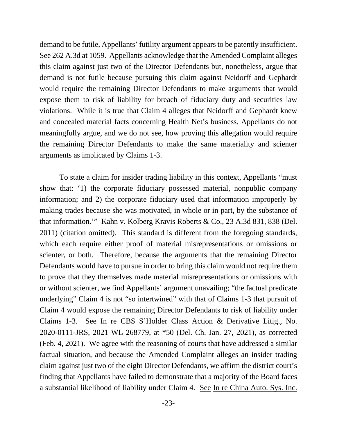demand to be futile, Appellants' futility argument appears to be patently insufficient. See 262 A.3d at 1059. Appellants acknowledge that the Amended Complaint alleges this claim against just two of the Director Defendants but, nonetheless, argue that demand is not futile because pursuing this claim against Neidorff and Gephardt would require the remaining Director Defendants to make arguments that would expose them to risk of liability for breach of fiduciary duty and securities law violations. While it is true that Claim 4 alleges that Neidorff and Gephardt knew and concealed material facts concerning Health Net's business, Appellants do not meaningfully argue, and we do not see, how proving this allegation would require the remaining Director Defendants to make the same materiality and scienter arguments as implicated by Claims 1-3.

To state a claim for insider trading liability in this context, Appellants "must show that: '1) the corporate fiduciary possessed material, nonpublic company information; and 2) the corporate fiduciary used that information improperly by making trades because she was motivated, in whole or in part, by the substance of that information.'" Kahn v. Kolberg Kravis Roberts & Co., 23 A.3d 831, 838 (Del. 2011) (citation omitted). This standard is different from the foregoing standards, which each require either proof of material misrepresentations or omissions or scienter, or both. Therefore, because the arguments that the remaining Director Defendants would have to pursue in order to bring this claim would not require them to prove that they themselves made material misrepresentations or omissions with or without scienter, we find Appellants' argument unavailing; "the factual predicate underlying" Claim 4 is not "so intertwined" with that of Claims 1-3 that pursuit of Claim 4 would expose the remaining Director Defendants to risk of liability under Claims 1-3. See In re CBS S'Holder Class Action & Derivative Litig., No. 2020-0111-JRS, 2021 WL 268779, at \*50 (Del. Ch. Jan. 27, 2021), as corrected (Feb. 4, 2021). We agree with the reasoning of courts that have addressed a similar factual situation, and because the Amended Complaint alleges an insider trading claim against just two of the eight Director Defendants, we affirm the district court's finding that Appellants have failed to demonstrate that a majority of the Board faces a substantial likelihood of liability under Claim 4. See In re China Auto. Sys. Inc.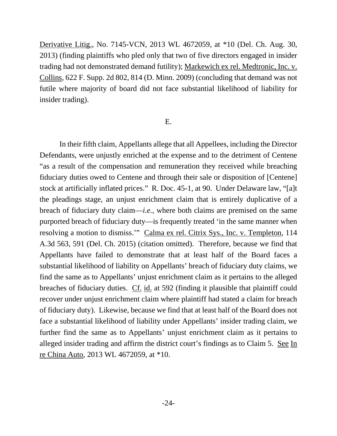Derivative Litig., No. 7145-VCN, 2013 WL 4672059, at \*10 (Del. Ch. Aug. 30, 2013) (finding plaintiffs who pled only that two of five directors engaged in insider trading had not demonstrated demand futility); Markewich ex rel. Medtronic, Inc. v. Collins, 622 F. Supp. 2d 802, 814 (D. Minn. 2009) (concluding that demand was not futile where majority of board did not face substantial likelihood of liability for insider trading).

# E.

In their fifth claim, Appellants allege that all Appellees, including the Director Defendants, were unjustly enriched at the expense and to the detriment of Centene "as a result of the compensation and remuneration they received while breaching fiduciary duties owed to Centene and through their sale or disposition of [Centene] stock at artificially inflated prices." R. Doc. 45-1, at 90. Under Delaware law, "[a]t the pleadings stage, an unjust enrichment claim that is entirely duplicative of a breach of fiduciary duty claim—*i.e.*, where both claims are premised on the same purported breach of fiduciary duty—is frequently treated 'in the same manner when resolving a motion to dismiss.'" Calma ex rel. Citrix Sys., Inc. v. Templeton, 114 A.3d 563, 591 (Del. Ch. 2015) (citation omitted). Therefore, because we find that Appellants have failed to demonstrate that at least half of the Board faces a substantial likelihood of liability on Appellants' breach of fiduciary duty claims, we find the same as to Appellants' unjust enrichment claim as it pertains to the alleged breaches of fiduciary duties. Cf. id. at 592 (finding it plausible that plaintiff could recover under unjust enrichment claim where plaintiff had stated a claim for breach of fiduciary duty). Likewise, because we find that at least half of the Board does not face a substantial likelihood of liability under Appellants' insider trading claim, we further find the same as to Appellants' unjust enrichment claim as it pertains to alleged insider trading and affirm the district court's findings as to Claim 5. See In re China Auto, 2013 WL 4672059, at \*10.